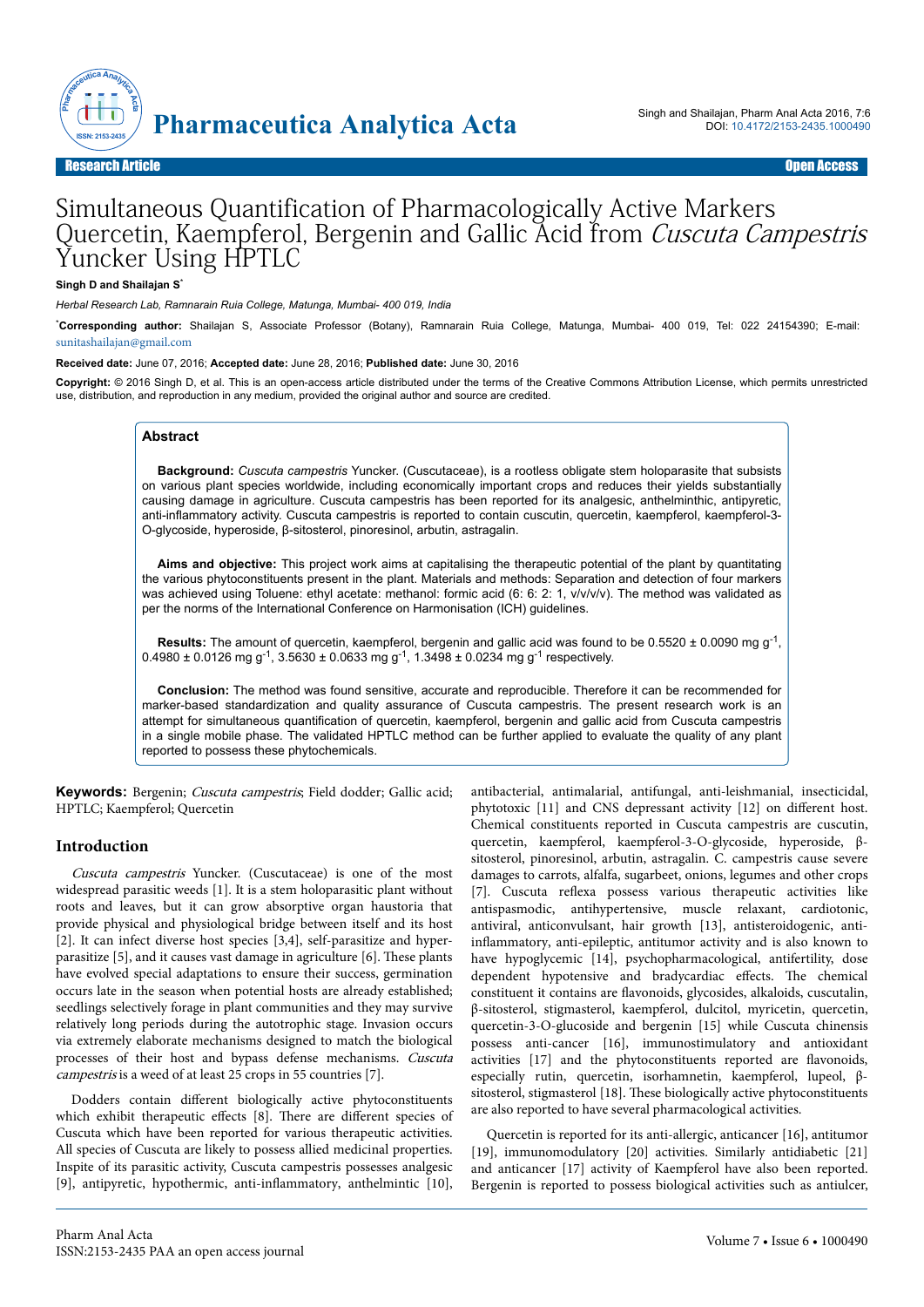

# Simultaneous Quantification of Pharmacologically Active Markers Quercetin, Kaempferol, Bergenin and Gallic Acid from Cuscuta Campestris Yuncker Using HPTLC

#### **Singh D and Shailajan S**\*

*Herbal Research Lab, Ramnarain Ruia College, Matunga, Mumbai- 400 019, India*

\***Corresponding author:** Shailajan S, Associate Professor (Botany), Ramnarain Ruia College, Matunga, Mumbai- 400 019, Tel: 022 24154390; E-mail: [sunitashailajan@gmail.com](mailto:sunitashailajan@gmail.com)

**Received date:** June 07, 2016; **Accepted date:** June 28, 2016; **Published date:** June 30, 2016

**Copyright:** © 2016 Singh D, et al. This is an open-access article distributed under the terms of the Creative Commons Attribution License, which permits unrestricted use, distribution, and reproduction in any medium, provided the original author and source are credited.

#### **Abstract**

**Background:** *Cuscuta campestris* Yuncker. (Cuscutaceae), is a rootless obligate stem holoparasite that subsists on various plant species worldwide, including economically important crops and reduces their yields substantially causing damage in agriculture. Cuscuta campestris has been reported for its analgesic, anthelminthic, antipyretic, anti-inflammatory activity. Cuscuta campestris is reported to contain cuscutin, quercetin, kaempferol, kaempferol-3- O-glycoside, hyperoside, β-sitosterol, pinoresinol, arbutin, astragalin.

**Aims and objective:** This project work aims at capitalising the therapeutic potential of the plant by quantitating the various phytoconstituents present in the plant. Materials and methods: Separation and detection of four markers was achieved using Toluene: ethyl acetate: methanol: formic acid (6: 6: 2: 1, v/v/v/v). The method was validated as per the norms of the International Conference on Harmonisation (ICH) guidelines.

**Results:** The amount of quercetin, kaempferol, bergenin and gallic acid was found to be  $0.5520 \pm 0.0090$  mg g<sup>-1</sup>,  $0.4980 \pm 0.0126$  mg g<sup>-1</sup>, 3.5630  $\pm$  0.0633 mg g<sup>-1</sup>, 1.3498  $\pm$  0.0234 mg g<sup>-1</sup> respectively.

**Conclusion:** The method was found sensitive, accurate and reproducible. Therefore it can be recommended for marker-based standardization and quality assurance of Cuscuta campestris. The present research work is an attempt for simultaneous quantification of quercetin, kaempferol, bergenin and gallic acid from Cuscuta campestris in a single mobile phase. The validated HPTLC method can be further applied to evaluate the quality of any plant reported to possess these phytochemicals.

**Keywords:** Bergenin; Cuscuta campestris; Field dodder; Gallic acid; HPTLC; Kaempferol; Quercetin

# **Introduction**

Cuscuta campestris Yuncker. (Cuscutaceae) is one of the most widespread parasitic weeds [1]. It is a stem holoparasitic plant without roots and leaves, but it can grow absorptive organ haustoria that provide physical and physiological bridge between itself and its host [2]. It can infect diverse host species [3,4], self-parasitize and hyperparasitize [5], and it causes vast damage in agriculture [6]. Нese plants have evolved special adaptations to ensure their success, germination occurs late in the season when potential hosts are already established; seedlings selectively forage in plant communities and they may survive relatively long periods during the autotrophic stage. Invasion occurs via extremely elaborate mechanisms designed to match the biological processes of their host and bypass defense mechanisms. Cuscuta campestris is a weed of at least 25 crops in 55 countries [7].

Dodders contain different biologically active phytoconstituents which exhibit therapeutic effects [8]. There are different species of Cuscuta which have been reported for various therapeutic activities. All species of Cuscuta are likely to possess allied medicinal properties. Inspite of its parasitic activity, Cuscuta campestris possesses analgesic [9], antipyretic, hypothermic, anti-inflammatory, anthelmintic [10], antibacterial, antimalarial, antifungal, anti-leishmanial, insecticidal, phytotoxic [11] and CNS depressant activity [12] on different host. Chemical constituents reported in Cuscuta campestris are cuscutin, quercetin, kaempferol, kaempferol-3-O-glycoside, hyperoside, βsitosterol, pinoresinol, arbutin, astragalin. C. campestris cause severe damages to carrots, alfalfa, sugarbeet, onions, legumes and other crops [7]. Cuscuta reflexa possess various therapeutic activities like antispasmodic, antihypertensive, muscle relaxant, cardiotonic, antiviral, anticonvulsant, hair growth [13], antisteroidogenic, antiinflammatory, anti-epileptic, antitumor activity and is also known to have hypoglycemic [14], psychopharmacological, antifertility, dose dependent hypotensive and bradycardiac effects. The chemical constituent it contains are flavonoids, glycosides, alkaloids, cuscutalin, β-sitosterol, stigmasterol, kaempferol, dulcitol, myricetin, quercetin, quercetin-3-O-glucoside and bergenin [15] while Cuscuta chinensis possess anti-cancer [16], immunostimulatory and antioxidant activities [17] and the phytoconstituents reported are flavonoids, especially rutin, quercetin, isorhamnetin, kaempferol, lupeol, βsitosterol, stigmasterol [18]. These biologically active phytoconstituents are also reported to have several pharmacological activities.

Quercetin is reported for its anti-allergic, anticancer [16], antitumor [19], immunomodulatory [20] activities. Similarly antidiabetic [21] and anticancer [17] activity of Kaempferol have also been reported. Bergenin is reported to possess biological activities such as antiulcer,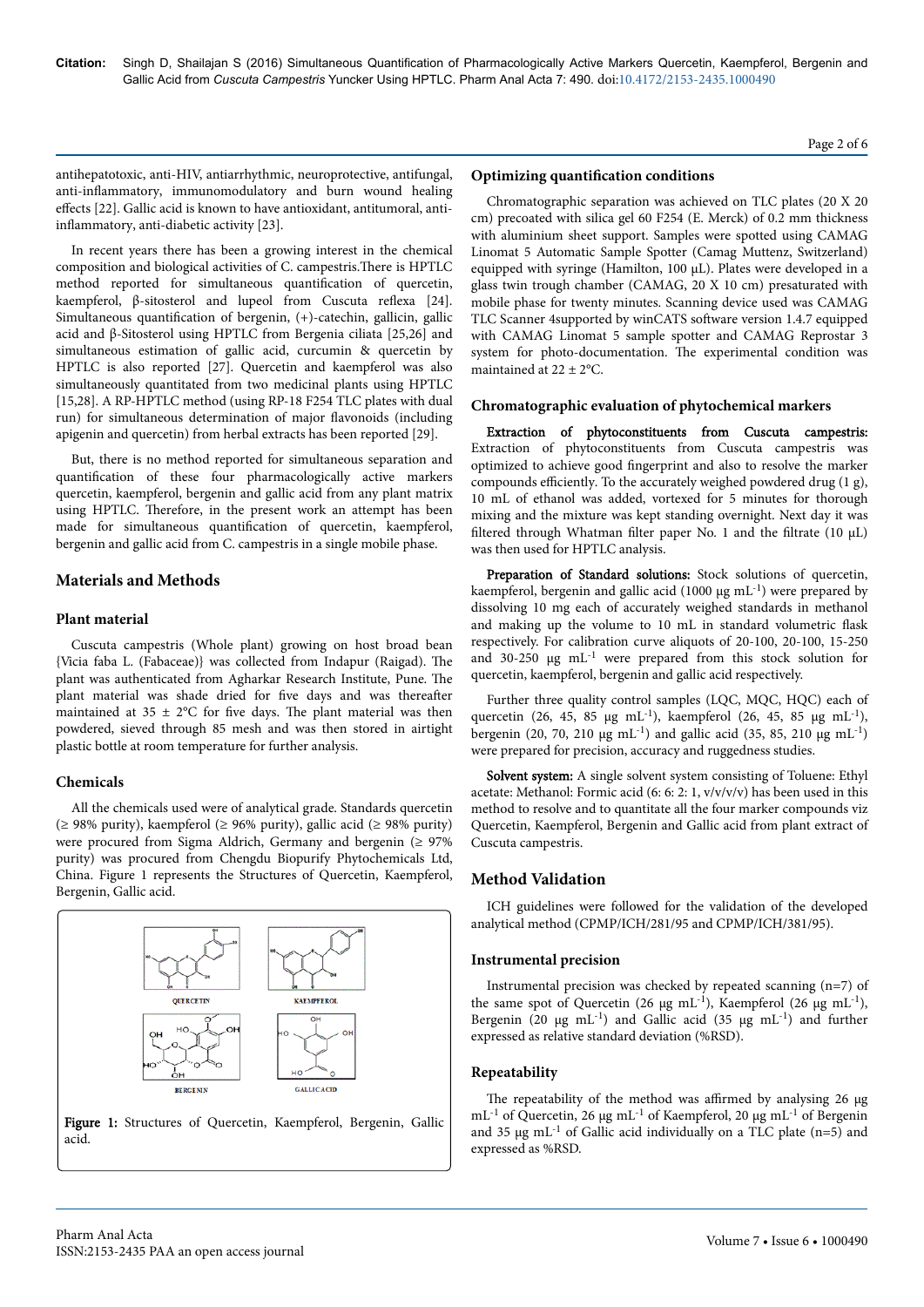#### Page 2 of 6

antihepatotoxic, anti-HIV, antiarrhythmic, neuroprotective, antifungal, anti-inflammatory, immunomodulatory and burn wound healing effects [22]. Gallic acid is known to have antioxidant, antitumoral, antiinflammatory, anti-diabetic activity [23].

In recent years there has been a growing interest in the chemical composition and biological activities of C. campestris. There is HPTLC method reported for simultaneous quantification of quercetin, kaempferol, β-sitosterol and lupeol from Cuscuta reflexa [24]. Simultaneous quantification of bergenin,  $(+)$ -catechin, gallicin, gallic acid and β-Sitosterol using HPTLC from Bergenia ciliata [25,26] and simultaneous estimation of gallic acid, curcumin & quercetin by HPTLC is also reported [27]. Quercetin and kaempferol was also simultaneously quantitated from two medicinal plants using HPTLC [15,28]. A RP-HPTLC method (using RP-18 F254 TLC plates with dual run) for simultaneous determination of major flavonoids (including apigenin and quercetin) from herbal extracts has been reported [29].

But, there is no method reported for simultaneous separation and quantification of these four pharmacologically active markers quercetin, kaempferol, bergenin and gallic acid from any plant matrix using HPTLC. Нerefore, in the present work an attempt has been made for simultaneous quantification of quercetin, kaempferol, bergenin and gallic acid from C. campestris in a single mobile phase.

# **Materials and Methods**

## **Plant material**

Cuscuta campestris (Whole plant) growing on host broad bean {Vicia faba L. (Fabaceae)} was collected from Indapur (Raigad). Нe plant was authenticated from Agharkar Research Institute, Pune. Нe plant material was shade dried for five days and was thereafter maintained at  $35 \pm 2$ °C for five days. The plant material was then powdered, sieved through 85 mesh and was then stored in airtight plastic bottle at room temperature for further analysis.

# **Chemicals**

All the chemicals used were of analytical grade. Standards quercetin (≥ 98% purity), kaempferol (≥ 96% purity), gallic acid (≥ 98% purity) were procured from Sigma Aldrich, Germany and bergenin (≥ 97% purity) was procured from Chengdu Biopurify Phytochemicals Ltd, China. Figure 1 represents the Structures of Quercetin, Kaempferol, Bergenin, Gallic acid.



#### **Optimizing quantification conditions**

Chromatographic separation was achieved on TLC plates (20 X 20 cm) precoated with silica gel 60 F254 (E. Merck) of 0.2 mm thickness with aluminium sheet support. Samples were spotted using CAMAG Linomat 5 Automatic Sample Spotter (Camag Muttenz, Switzerland) equipped with syringe (Hamilton, 100 µL). Plates were developed in a glass twin trough chamber (CAMAG, 20 X 10 cm) presaturated with mobile phase for twenty minutes. Scanning device used was CAMAG TLC Scanner 4supported by winCATS software version 1.4.7 equipped with CAMAG Linomat 5 sample spotter and CAMAG Reprostar 3 system for photo-documentation. Нe experimental condition was maintained at  $22 \pm 2$ °C.

#### **Chromatographic evaluation of phytochemical markers**

Extraction of phytoconstituents from Cuscuta campestris: Extraction of phytoconstituents from Cuscuta campestris was optimized to achieve good fingerprint and also to resolve the marker compounds efficiently. To the accurately weighed powdered drug  $(1 g)$ , 10 mL of ethanol was added, vortexed for 5 minutes for thorough mixing and the mixture was kept standing overnight. Next day it was filtered through Whatman filter paper No. 1 and the filtrate (10  $\mu$ L) was then used for HPTLC analysis.

Preparation of Standard solutions: Stock solutions of quercetin, kaempferol, bergenin and gallic acid (1000  $\mu$ g mL<sup>-1</sup>) were prepared by dissolving 10 mg each of accurately weighed standards in methanol and making up the volume to 10 mL in standard volumetric flask respectively. For calibration curve aliquots of 20-100, 20-100, 15-250 and 30-250 µg mL<sup>-1</sup> were prepared from this stock solution for quercetin, kaempferol, bergenin and gallic acid respectively.

Further three quality control samples (LQC, MQC, HQC) each of quercetin (26, 45, 85 µg mL<sup>-1</sup>), kaempferol (26, 45, 85 µg mL<sup>-1</sup>), bergenin (20, 70, 210  $\mu$ g mL<sup>-1</sup>) and gallic acid (35, 85, 210  $\mu$ g mL<sup>-1</sup>) were prepared for precision, accuracy and ruggedness studies.

Solvent system: A single solvent system consisting of Toluene: Ethyl acetate: Methanol: Formic acid (6: 6: 2: 1, v/v/v/v) has been used in this method to resolve and to quantitate all the four marker compounds viz Quercetin, Kaempferol, Bergenin and Gallic acid from plant extract of Cuscuta campestris.

# **Method Validation**

ICH guidelines were followed for the validation of the developed analytical method (CPMP/ICH/281/95 and CPMP/ICH/381/95).

#### **Instrumental precision**

Instrumental precision was checked by repeated scanning (n=7) of the same spot of Quercetin (26  $\mu$ g mL<sup>-1</sup>), Kaempferol (26  $\mu$ g mL<sup>-1</sup>), Bergenin (20  $\mu$ g mL<sup>-1</sup>) and Gallic acid (35  $\mu$ g mL<sup>-1</sup>) and further expressed as relative standard deviation (%RSD).

#### **Repeatability**

The repeatability of the method was affirmed by analysing 26 µg  $mL^{-1}$  of Quercetin, 26 µg m $L^{-1}$  of Kaempferol, 20 µg m $L^{-1}$  of Bergenin and 35  $\mu$ g mL<sup>-1</sup> of Gallic acid individually on a TLC plate (n=5) and expressed as %RSD.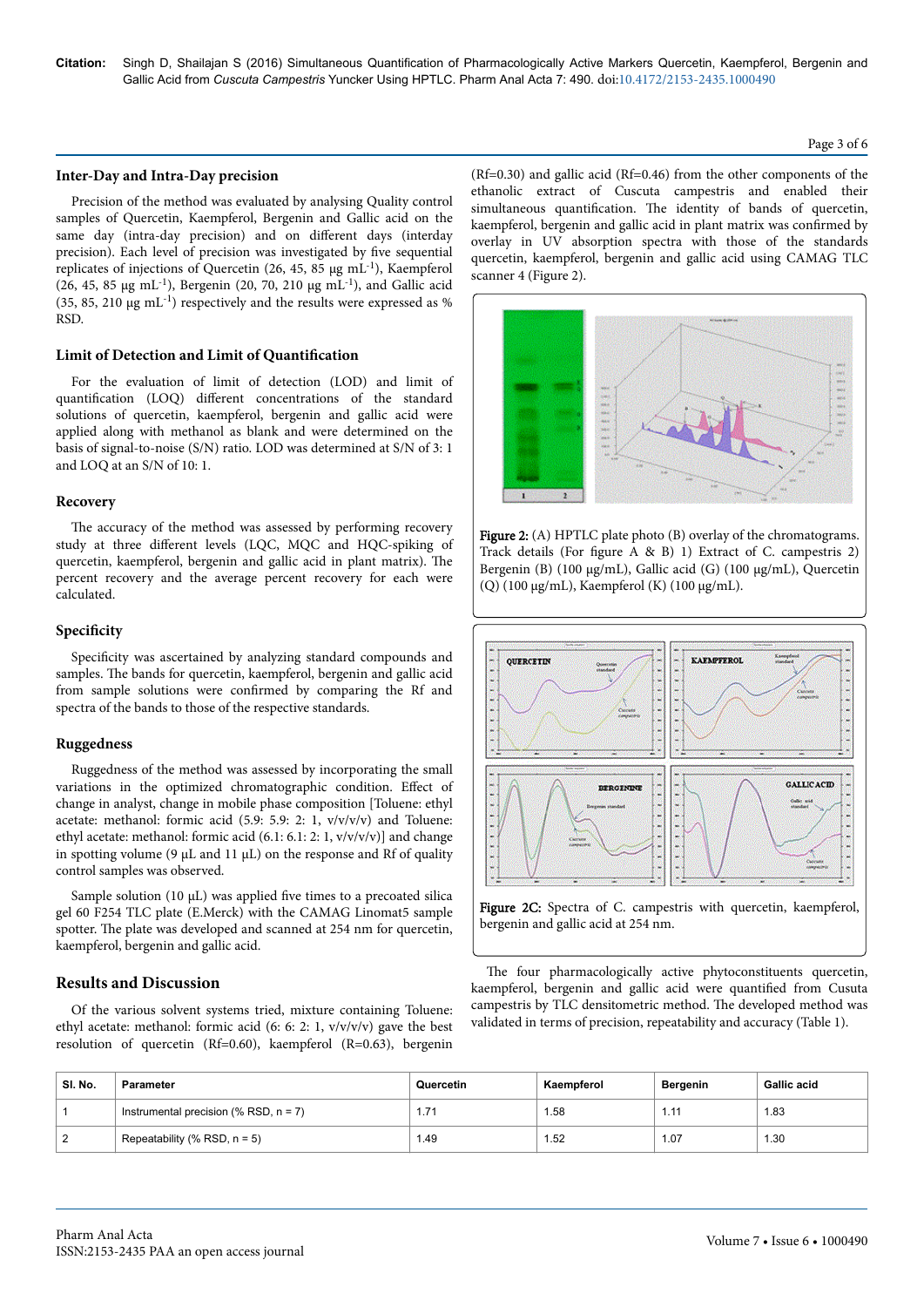#### **Inter-Day and Intra-Day precision**

Precision of the method was evaluated by analysing Quality control samples of Quercetin, Kaempferol, Bergenin and Gallic acid on the same day (intra-day precision) and on different days (interday precision). Each level of precision was investigated by five sequential replicates of injections of Quercetin (26, 45, 85 µg mL-1), Kaempferol (26, 45, 85  $\mu$ g mL<sup>-1</sup>), Bergenin (20, 70, 210  $\mu$ g mL<sup>-1</sup>), and Gallic acid (35, 85, 210 µg mL-1) respectively and the results were expressed as % RSD.

# **Limit of Detection and Limit of Quantification**

For the evaluation of limit of detection (LOD) and limit of quantification (LOQ) different concentrations of the standard solutions of quercetin, kaempferol, bergenin and gallic acid were applied along with methanol as blank and were determined on the basis of signal-to-noise (S/N) ratio. LOD was determined at S/N of 3: 1 and LOQ at an S/N of 10: 1.

# **Recovery**

The accuracy of the method was assessed by performing recovery study at three different levels (LQC, MQC and HQC-spiking of quercetin, kaempferol, bergenin and gallic acid in plant matrix). Нe percent recovery and the average percent recovery for each were calculated.

#### **Specificity**

6pecificity was ascertained by analyzing standard compounds and samples. The bands for quercetin, kaempferol, bergenin and gallic acid from sample solutions were confirmed by comparing the Rf and spectra of the bands to those of the respective standards.

## **Ruggedness**

Ruggedness of the method was assessed by incorporating the small variations in the optimized chromatographic condition. Effect of change in analyst, change in mobile phase composition [Toluene: ethyl acetate: methanol: formic acid (5.9: 5.9: 2: 1, v/v/v/v) and Toluene: ethyl acetate: methanol: formic acid (6.1: 6.1: 2: 1, v/v/v/v)] and change in spotting volume (9  $\mu$ L and 11  $\mu$ L) on the response and Rf of quality control samples was observed.

Sample solution (10  $\mu$ L) was applied five times to a precoated silica gel 60 F254 TLC plate (E.Merck) with the CAMAG Linomat5 sample spotter. The plate was developed and scanned at 254 nm for quercetin, kaempferol, bergenin and gallic acid.

## **Results and Discussion**

Of the various solvent systems tried, mixture containing Toluene: ethyl acetate: methanol: formic acid (6: 6: 2: 1, v/v/v/v) gave the best resolution of quercetin (Rf=0.60), kaempferol (R=0.63), bergenin

(Rf=0.30) and gallic acid (Rf=0.46) from the other components of the ethanolic extract of Cuscuta campestris and enabled their simultaneous quantification. The identity of bands of quercetin, kaempferol, bergenin and gallic acid in plant matrix was confirmed by overlay in UV absorption spectra with those of the standards quercetin, kaempferol, bergenin and gallic acid using CAMAG TLC scanner 4 (Figure 2).



Figure 2: (A) HPTLC plate photo (B) overlay of the chromatograms. Track details (For figure A & B) 1) Extract of C. campestris 2) Bergenin (B) (100 µg/mL), Gallic acid (G) (100 µg/mL), Quercetin (Q) (100 µg/mL), Kaempferol (K) (100 µg/mL).



Figure 2C: Spectra of C. campestris with quercetin, kaempferol, bergenin and gallic acid at 254 nm.

The four pharmacologically active phytoconstituents quercetin, kaempferol, bergenin and gallic acid were quantified from Cusuta campestris by TLC densitometric method. Нe developed method was validated in terms of precision, repeatability and accuracy (Table 1).

| SI. No. | <b>Parameter</b>                         | Quercetin | Kaempferol | Bergenin | <b>Gallic acid</b> |
|---------|------------------------------------------|-----------|------------|----------|--------------------|
|         | Instrumental precision (% RSD, $n = 7$ ) | 1.71      | 58، ا      | 1.11     | 1.83               |
|         | Repeatability (% RSD, $n = 5$ )          | 1.49      | 1.52       | 1.07     | 1.30               |

#### Page 3 of 6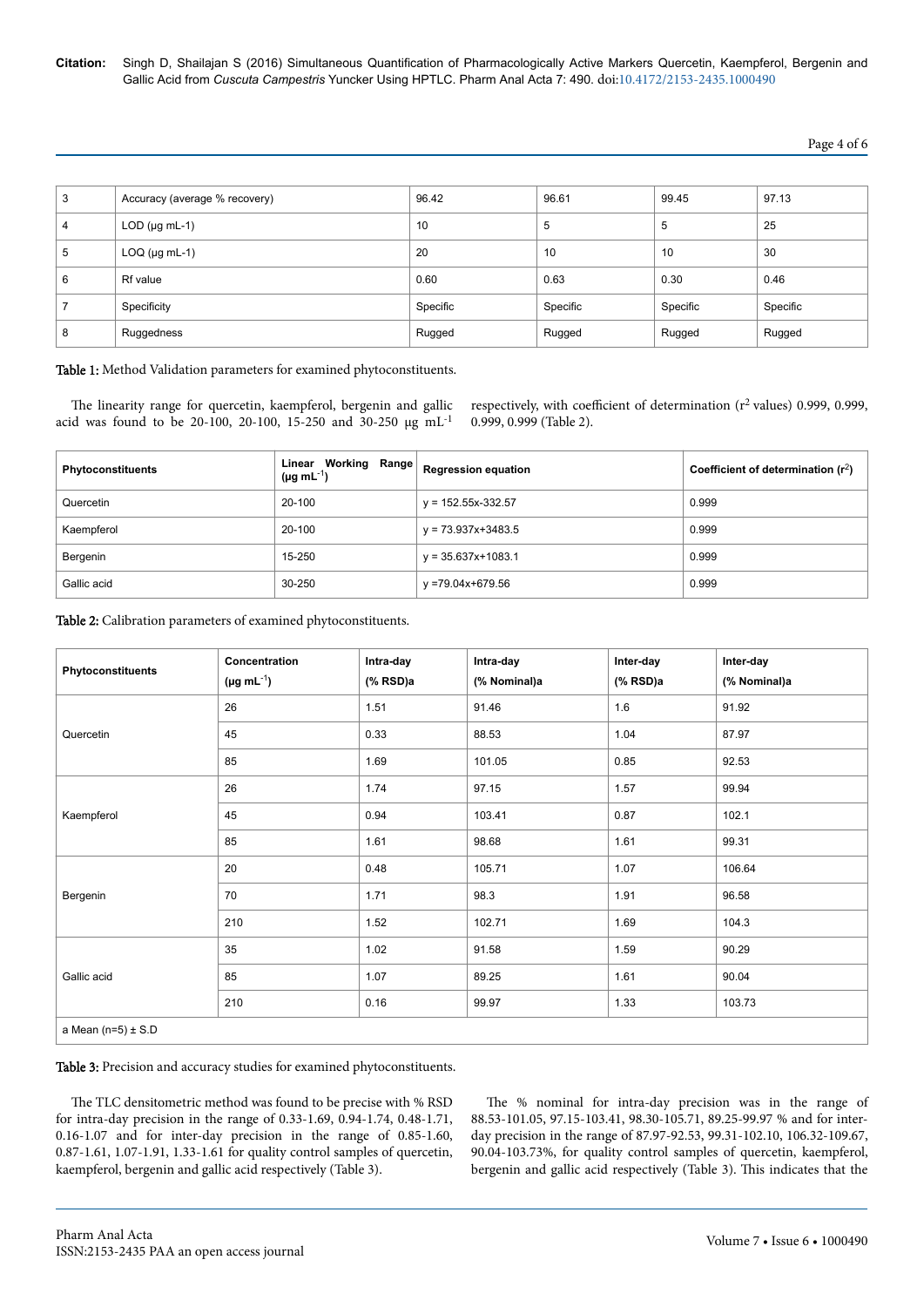**Citation:** Singh D, Shailajan S (2016) Simultaneous Quantification of Pharmacologically Active Markers Quercetin, Kaempferol, Bergenin and Gallic Acid from *Cuscuta Campestris* Yuncker Using HPTLC. Pharm Anal Acta 7: 490. doi:10.4172/2153-2435.1000490

## Page 4 of 6

| 3 | Accuracy (average % recovery) | 96.42    | 96.61    | 99.45    | 97.13    |
|---|-------------------------------|----------|----------|----------|----------|
| 4 | $LOD$ ( $\mu$ g mL-1)         | 10       | 5        | 5        | 25       |
| 5 | $LOQ$ ( $\mu$ g mL-1)         | 20       | 10       | 10       | 30       |
| 6 | <b>Rf</b> value               | 0.60     | 0.63     | 0.30     | 0.46     |
|   | Specificity                   | Specific | Specific | Specific | Specific |
| 8 | Ruggedness                    | Rugged   | Rugged   | Rugged   | Rugged   |

Table 1: Method Validation parameters for examined phytoconstituents.

The linearity range for quercetin, kaempferol, bergenin and gallic acid was found to be 20-100, 20-100, 15-250 and 30-250 µg mL-1

respectively, with coefficient of determination ( $r^2$  values) 0.999, 0.999, 0.999, 0.999 (Table 2).

| <b>Phytoconstituents</b> | <b>Linear Working Range</b> Regression equation<br>( $\mu$ g mL <sup>-1</sup> ) |                        | Coefficient of determination $(r^2)$ |
|--------------------------|---------------------------------------------------------------------------------|------------------------|--------------------------------------|
| Quercetin                | 20-100                                                                          | $y = 152.55x-332.57$   | 0.999                                |
| Kaempferol               | 20-100                                                                          | $v = 73.937x + 3483.5$ | 0.999                                |
| Bergenin                 | 15-250                                                                          | $y = 35.637x + 1083.1$ | 0.999                                |
| Gallic acid              | 30-250                                                                          | y =79.04x+679.56       | 0.999                                |

Table 2: Calibration parameters of examined phytoconstituents.

| Phytoconstituents      | Concentration<br>$(\mu g \, mL^{-1})$ | Intra-day<br>$(% \mathbf{RSD}$ )a | Intra-day<br>(% Nominal)a | Inter-day<br>$(% \mathbf{RSD}$ )a | Inter-day<br>(% Nominal)a |
|------------------------|---------------------------------------|-----------------------------------|---------------------------|-----------------------------------|---------------------------|
|                        | 26                                    | 1.51                              | 91.46                     | 1.6                               | 91.92                     |
| Quercetin              | 45                                    | 0.33                              | 88.53                     | 1.04                              | 87.97                     |
|                        | 85                                    | 1.69                              | 101.05                    | 0.85                              | 92.53                     |
|                        | 26                                    | 1.74                              | 97.15                     | 1.57                              | 99.94                     |
| Kaempferol             | 45                                    | 0.94                              | 103.41                    | 0.87                              | 102.1                     |
|                        | 85                                    | 1.61                              | 98.68                     | 1.61                              | 99.31                     |
|                        | 20                                    | 0.48                              | 105.71                    | 1.07                              | 106.64                    |
| Bergenin               | 70                                    | 1.71                              | 98.3                      | 1.91                              | 96.58                     |
|                        | 210                                   | 1.52                              | 102.71                    | 1.69                              | 104.3                     |
|                        | 35                                    | 1.02                              | 91.58                     | 1.59                              | 90.29                     |
| Gallic acid            | 85                                    | 1.07                              | 89.25                     | 1.61                              | 90.04                     |
|                        | 210                                   | 0.16                              | 99.97                     | 1.33                              | 103.73                    |
| a Mean $(n=5) \pm S.D$ |                                       |                                   |                           |                                   |                           |

Table 3: Precision and accuracy studies for examined phytoconstituents.

The TLC densitometric method was found to be precise with % RSD for intra-day precision in the range of 0.33-1.69, 0.94-1.74, 0.48-1.71, 0.16-1.07 and for inter-day precision in the range of 0.85-1.60, 0.87-1.61, 1.07-1.91, 1.33-1.61 for quality control samples of quercetin, kaempferol, bergenin and gallic acid respectively (Table 3).

The % nominal for intra-day precision was in the range of 88.53-101.05, 97.15-103.41, 98.30-105.71, 89.25-99.97 % and for interday precision in the range of 87.97-92.53, 99.31-102.10, 106.32-109.67, 90.04-103.73%, for quality control samples of quercetin, kaempferol, bergenin and gallic acid respectively (Table 3). Нis indicates that the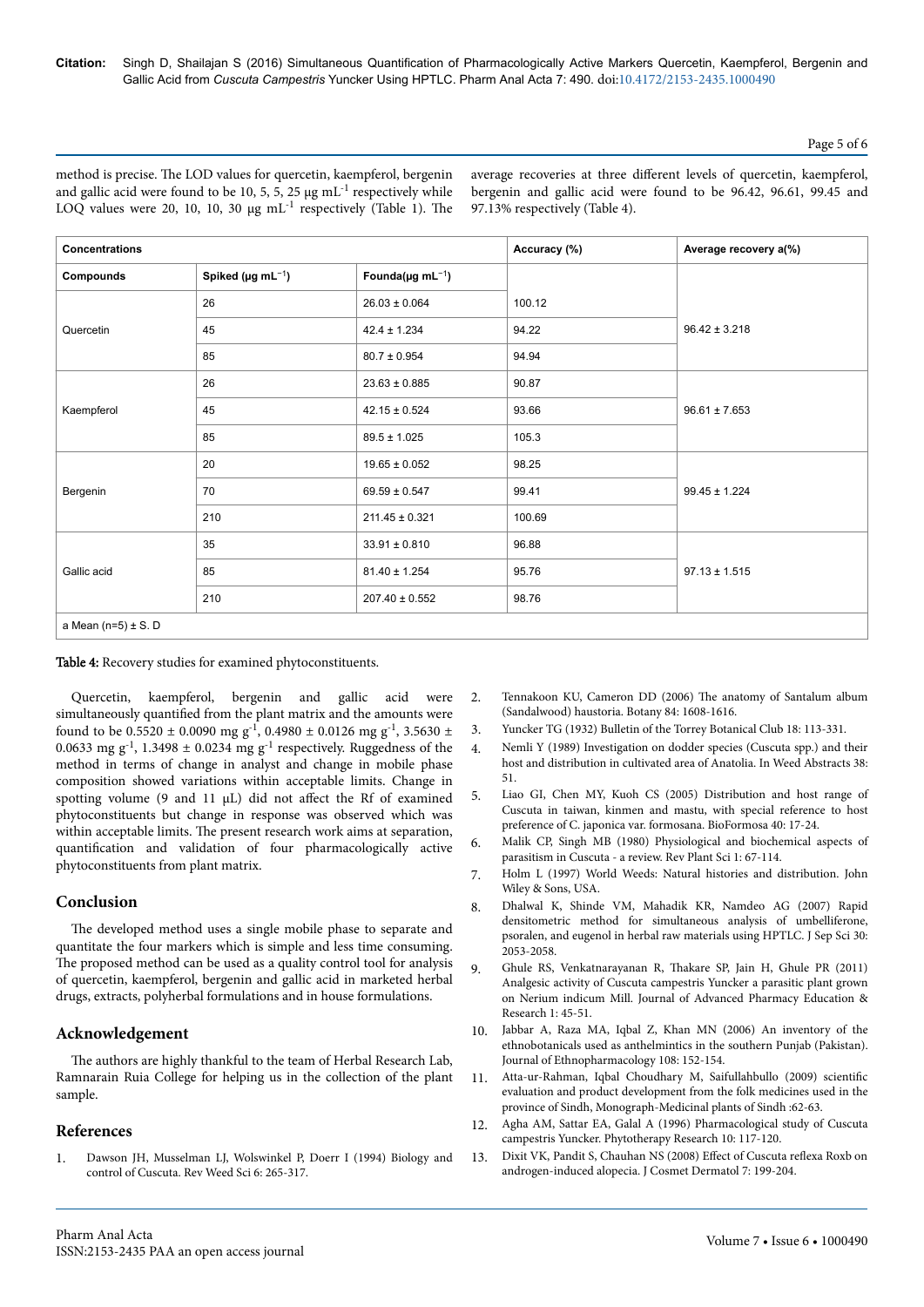Page 5 of 6

method is precise. Нe LOD values for quercetin, kaempferol, bergenin and gallic acid were found to be 10, 5, 5, 25  $\mu$ g mL<sup>-1</sup> respectively while LOQ values were 20, 10, 10, 30  $\mu$ g mL<sup>-1</sup> respectively (Table 1). The average recoveries at three different levels of quercetin, kaempferol, bergenin and gallic acid were found to be 96.42, 96.61, 99.45 and 97.13% respectively (Table 4).

| <b>Concentrations</b>    |                                     |                                    | Accuracy (%) | Average recovery a(%) |  |
|--------------------------|-------------------------------------|------------------------------------|--------------|-----------------------|--|
| Compounds                | Spiked ( $\mu$ g mL <sup>-1</sup> ) | Founda( $\mu$ g mL <sup>-1</sup> ) |              |                       |  |
|                          | 26                                  | $26.03 \pm 0.064$                  | 100.12       |                       |  |
| Quercetin                | 45                                  | $42.4 \pm 1.234$                   | 94.22        | $96.42 \pm 3.218$     |  |
|                          | 85                                  | $80.7 \pm 0.954$                   | 94.94        |                       |  |
|                          | 26                                  | $23.63 \pm 0.885$                  | 90.87        |                       |  |
| Kaempferol               | 45                                  | $42.15 \pm 0.524$                  | 93.66        | $96.61 \pm 7.653$     |  |
|                          | 85                                  | $89.5 \pm 1.025$                   | 105.3        |                       |  |
|                          | 20                                  | $19.65 \pm 0.052$                  | 98.25        |                       |  |
| Bergenin                 | 70                                  | $69.59 \pm 0.547$                  | 99.41        | $99.45 \pm 1.224$     |  |
|                          | 210                                 | $211.45 \pm 0.321$                 | 100.69       |                       |  |
|                          | 35                                  | $33.91 \pm 0.810$                  | 96.88        |                       |  |
| Gallic acid              | 85                                  | $81.40 \pm 1.254$                  | 95.76        | $97.13 \pm 1.515$     |  |
|                          | 210                                 | $207.40 \pm 0.552$                 | 98.76        |                       |  |
| a Mean $(n=5) \pm S$ . D |                                     |                                    |              |                       |  |

Table 4: Recovery studies for examined phytoconstituents.

Quercetin, kaempferol, bergenin and gallic acid were simultaneously quantified from the plant matrix and the amounts were found to be 0.5520  $\pm$  0.0090 mg g<sup>-1</sup>, 0.4980  $\pm$  0.0126 mg g<sup>-1</sup>, 3.5630  $\pm$ 0.0633 mg  $g^{-1}$ , 1.3498 ± 0.0234 mg  $g^{-1}$  respectively. Ruggedness of the method in terms of change in analyst and change in mobile phase composition showed variations within acceptable limits. Change in spotting volume (9 and 11  $\mu$ L) did not affect the Rf of examined phytoconstituents but change in response was observed which was within acceptable limits. Нe present research work aims at separation, quantification and validation of four pharmacologically active phytoconstituents from plant matrix.

# **Conclusion**

The developed method uses a single mobile phase to separate and quantitate the four markers which is simple and less time consuming. The proposed method can be used as a quality control tool for analysis of quercetin, kaempferol, bergenin and gallic acid in marketed herbal drugs, extracts, polyherbal formulations and in house formulations.

# **Acknowledgement**

The authors are highly thankful to the team of Herbal Research Lab, Ramnarain Ruia College for helping us in the collection of the plant sample.

# **References**

[Dawson JH, Musselman LJ, Wolswinkel P, Doerr I \(1994\) Biology and](http://www.cabdirect.org/abstracts/19942309905.html) [control of Cuscuta. Rev Weed Sci 6: 265-317.](http://www.cabdirect.org/abstracts/19942309905.html)

- 2. [Tennakoon KU, Cameron DD \(2006\)](http://www.nrcresearchpress.com/doi/abs/10.1139/b06-118) Нe anatomy of Santalum album [\(Sandalwood\) haustoria. Botany 84: 1608-1616.](http://www.nrcresearchpress.com/doi/abs/10.1139/b06-118)
- 3. [Yuncker TG \(1932\) Bulletin of the Torrey Botanical Club 18: 113-331.](http://www.biodiversitylibrary.org/bibliography/340)
- 4. Nemli Y (1989) Investigation on dodder species (Cuscuta spp.) and their host and distribution in cultivated area of Anatolia. In Weed Abstracts 38: 51.
- 5. Liao GI, Chen MY, Kuoh CS (2005) Distribution and host range of Cuscuta in taiwan, kinmen and mastu, with special reference to host preference of C. japonica var. formosana. BioFormosa 40: 17-24.
- 6. [Malik CP, Singh MB \(1980\) Physiological and biochemical aspects of](http://kbd.kew.org/kbd/detailedresult.do?id=247043) [parasitism in Cuscuta - a review. Rev Plant Sci 1: 67-114.](http://kbd.kew.org/kbd/detailedresult.do?id=247043)
- 7. [Holm L \(1997\) World Weeds: Natural histories and distribution. John](https://books.google.co.in/books?hl=en&lr=&id=i7JjRXH6uq4C&oi=fnd&pg=PR13&dq=World+Weeds:+Natural+Histories+and+distribution&ots=uOfIjPK-9I&sig=JDBwHnG9O0a_LRLxZj6Czeg2RGg) [Wiley & Sons, USA.](https://books.google.co.in/books?hl=en&lr=&id=i7JjRXH6uq4C&oi=fnd&pg=PR13&dq=World+Weeds:+Natural+Histories+and+distribution&ots=uOfIjPK-9I&sig=JDBwHnG9O0a_LRLxZj6Czeg2RGg)
- 8. [Dhalwal K, Shinde VM, Mahadik KR, Namdeo AG \(2007\) Rapid](http://onlinelibrary.wiley.com/doi/10.1002/jssc.200600418/full) [densitometric method for simultaneous analysis of umbelliferone,](http://onlinelibrary.wiley.com/doi/10.1002/jssc.200600418/full) [psoralen, and eugenol in herbal raw materials using HPTLC. J Sep Sci 30:](http://onlinelibrary.wiley.com/doi/10.1002/jssc.200600418/full) [2053-2058.](http://onlinelibrary.wiley.com/doi/10.1002/jssc.200600418/full)
- 9. [Ghule RS, Venkatnarayanan R,](http://www.japer.in/Issue/Issu%201%20July/4.pdf) Thakare SP, Jain H, Ghule PR (2011) [Analgesic activity of Cuscuta campestris Yuncker a parasitic plant grown](http://www.japer.in/Issue/Issu%201%20July/4.pdf) [on Nerium indicum Mill. Journal of Advanced Pharmacy Education &](http://www.japer.in/Issue/Issu%201%20July/4.pdf) [Research 1: 45-51.](http://www.japer.in/Issue/Issu%201%20July/4.pdf)
- 10. [Jabbar A, Raza MA, Iqbal Z, Khan MN \(2006\) An inventory of the](http://www.sciencedirect.com/science/article/pii/S0378874106002200) [ethnobotanicals used as anthelmintics in the southern Punjab \(Pakistan\).](http://www.sciencedirect.com/science/article/pii/S0378874106002200) [Journal of Ethnopharmacology 108: 152-154.](http://www.sciencedirect.com/science/article/pii/S0378874106002200)
- 11. [Atta-ur-Rahman, Iqbal Choudhary M, Saifullahbullo \(2009\)](https://www.iccs.edu/folkmed/Medicinal%20Plants%20of%20Sindh.pdf) scientific [evaluation and product development from the folk medicines used in the](https://www.iccs.edu/folkmed/Medicinal%20Plants%20of%20Sindh.pdf) [province of Sindh, Monograph-Medicinal plants of Sindh :62-63.](https://www.iccs.edu/folkmed/Medicinal%20Plants%20of%20Sindh.pdf)
- 12. [Agha AM, Sattar EA, Galal A \(1996\) Pharmacological study of Cuscuta](http://onlinelibrary.wiley.com/doi/10.1002/(SICI)1099-1573(199603)10:2%3C117::AID-PTR782%3E3.0.CO;2-X/abstract) [campestris Yuncker. Phytotherapy Research 10: 117-120.](http://onlinelibrary.wiley.com/doi/10.1002/(SICI)1099-1573(199603)10:2%3C117::AID-PTR782%3E3.0.CO;2-X/abstract)
- 13. [Dixit VK, Pandit S, Chauhan NS \(2008\)](http://onlinelibrary.wiley.com/doi/10.1111/j.1473-2165.2008.00389.x/full) Effect of Cuscuta reflexa Roxb on [androgen-induced alopecia. J Cosmet Dermatol 7: 199-204.](http://onlinelibrary.wiley.com/doi/10.1111/j.1473-2165.2008.00389.x/full)